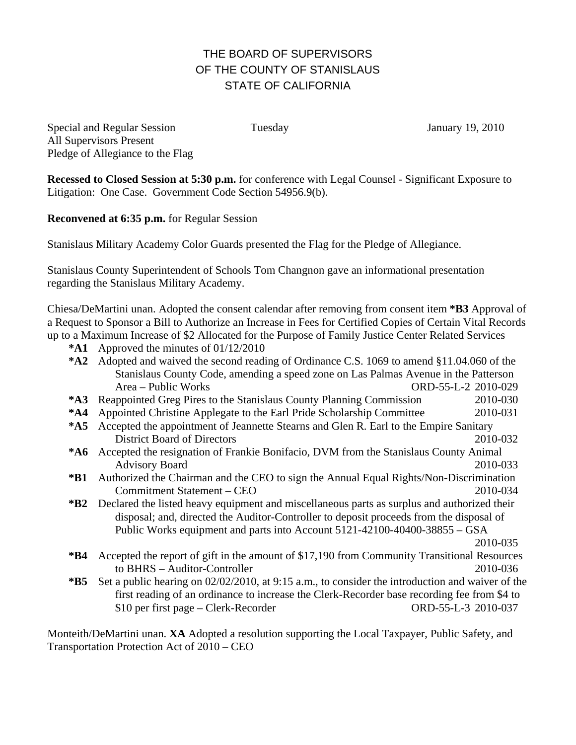## THE BOARD OF SUPERVISORS OF THE COUNTY OF STANISLAUS STATE OF CALIFORNIA

Special and Regular Session Tuesday January 19, 2010 All Supervisors Present Pledge of Allegiance to the Flag

**Recessed to Closed Session at 5:30 p.m.** for conference with Legal Counsel - Significant Exposure to Litigation: One Case. Government Code Section 54956.9(b).

**Reconvened at 6:35 p.m.** for Regular Session

Stanislaus Military Academy Color Guards presented the Flag for the Pledge of Allegiance.

Stanislaus County Superintendent of Schools Tom Changnon gave an informational presentation regarding the Stanislaus Military Academy.

Chiesa/DeMartini unan. Adopted the consent calendar after removing from consent item **\*B3** Approval of a Request to Sponsor a Bill to Authorize an Increase in Fees for Certified Copies of Certain Vital Records up to a Maximum Increase of \$2 Allocated for the Purpose of Family Justice Center Related Services

- **\*A1** Approved the minutes of 01/12/2010
- **\*A2** Adopted and waived the second reading of Ordinance C.S. 1069 to amend §11.04.060 of the Stanislaus County Code, amending a speed zone on Las Palmas Avenue in the Patterson Area – Public Works ORD-55-L-2 2010-029
- **\*A3** Reappointed Greg Pires to the Stanislaus County Planning Commission 2010-030
- **\*A4** Appointed Christine Applegate to the Earl Pride Scholarship Committee 2010-031
- **\*A5** Accepted the appointment of Jeannette Stearns and Glen R. Earl to the Empire Sanitary District Board of Directors 2010-032
- **\*A6** Accepted the resignation of Frankie Bonifacio, DVM from the Stanislaus County Animal Advisory Board 2010-033
- **\*B1** Authorized the Chairman and the CEO to sign the Annual Equal Rights/Non-Discrimination Commitment Statement – CEO 2010-034
- **\*B2** Declared the listed heavy equipment and miscellaneous parts as surplus and authorized their disposal; and, directed the Auditor-Controller to deposit proceeds from the disposal of Public Works equipment and parts into Account 5121-42100-40400-38855 – GSA

2010-035

- **\*B4** Accepted the report of gift in the amount of \$17,190 from Community Transitional Resources to BHRS – Auditor-Controller 2010-036
- **\*B5** Set a public hearing on 02/02/2010, at 9:15 a.m., to consider the introduction and waiver of the first reading of an ordinance to increase the Clerk-Recorder base recording fee from \$4 to \$10 per first page – Clerk-Recorder ORD-55-L-3 2010-037

Monteith/DeMartini unan. **XA** Adopted a resolution supporting the Local Taxpayer, Public Safety, and Transportation Protection Act of 2010 – CEO